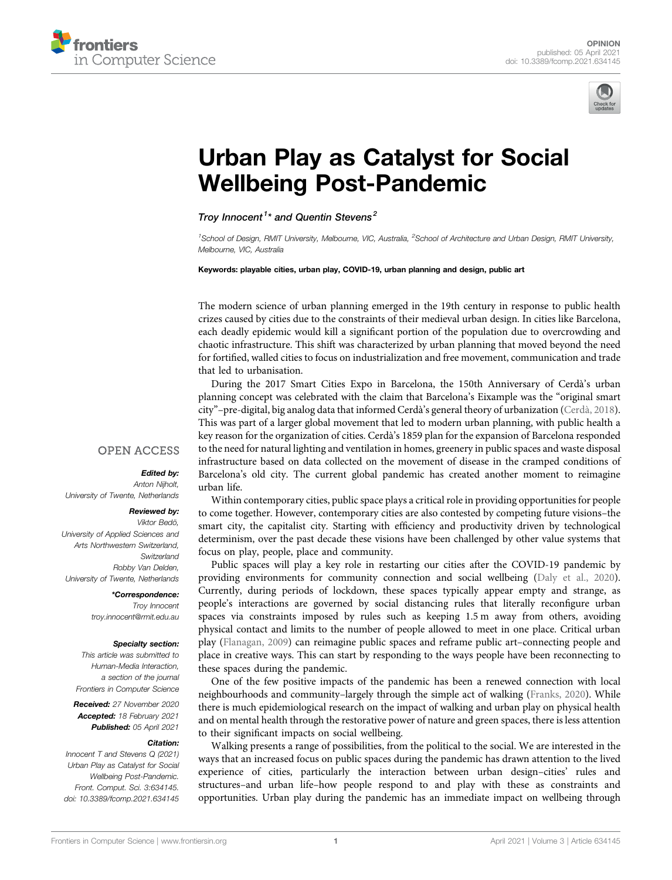



# [Urban Play as Catalyst for Social](https://www.frontiersin.org/articles/10.3389/fcomp.2021.634145/full) [Wellbeing Post-Pandemic](https://www.frontiersin.org/articles/10.3389/fcomp.2021.634145/full)

Trov Innocent<sup>1\*</sup> and Quentin Stevens<sup>2</sup>

<sup>1</sup>School of Design, RMIT University, Melbourne, VIC, Australia, <sup>2</sup>School of Architecture and Urban Design, RMIT University, Melbourne, VIC, Australia

Keywords: playable cities, urban play, COVID-19, urban planning and design, public art

The modern science of urban planning emerged in the 19th century in response to public health crizes caused by cities due to the constraints of their medieval urban design. In cities like Barcelona, each deadly epidemic would kill a significant portion of the population due to overcrowding and chaotic infrastructure. This shift was characterized by urban planning that moved beyond the need for fortified, walled cities to focus on industrialization and free movement, communication and trade that led to urbanisation.

During the 2017 Smart Cities Expo in Barcelona, the 150th Anniversary of Cerdà's urban planning concept was celebrated with the claim that Barcelona's Eixample was the "original smart city"–pre-digital, big analog data that informed Cerdà's general theory of urbanization ([Cerdà, 2018\)](#page-2-0). This was part of a larger global movement that led to modern urban planning, with public health a key reason for the organization of cities. Cerdà's 1859 plan for the expansion of Barcelona responded to the need for natural lighting and ventilation in homes, greenery in public spaces and waste disposal infrastructure based on data collected on the movement of disease in the cramped conditions of Barcelona's old city. The current global pandemic has created another moment to reimagine urban life.

## **OPEN ACCESS**

#### Edited by: Anton Nijholt,

University of Twente, Netherlands

### Reviewed by:

Viktor Bedö, University of Applied Sciences and Arts Northwestern Switzerland, **Switzerland** Robby Van Delden, University of Twente, Netherlands

> \*Correspondence: Troy Innocent [troy.innocent@rmit.edu.au](mailto:troy.innocent@rmit.edu.au)

#### Specialty section:

This article was submitted to Human-Media Interaction, a section of the journal Frontiers in Computer Science

Received: 27 November 2020 Accepted: 18 February 2021 Published: 05 April 2021

#### Citation:

Innocent T and Stevens Q (2021) Urban Play as Catalyst for Social Wellbeing Post-Pandemic. Front. Comput. Sci. 3:634145. doi: [10.3389/fcomp.2021.634145](https://doi.org/10.3389/fcomp.2021.634145)

Within contemporary cities, public space plays a critical role in providing opportunities for people to come together. However, contemporary cities are also contested by competing future visions–the smart city, the capitalist city. Starting with efficiency and productivity driven by technological determinism, over the past decade these visions have been challenged by other value systems that focus on play, people, place and community.

Public spaces will play a key role in restarting our cities after the COVID-19 pandemic by providing environments for community connection and social wellbeing [\(Daly et al., 2020\)](#page-2-1). Currently, during periods of lockdown, these spaces typically appear empty and strange, as people's interactions are governed by social distancing rules that literally reconfigure urban spaces via constraints imposed by rules such as keeping 1.5 m away from others, avoiding physical contact and limits to the number of people allowed to meet in one place. Critical urban play ([Flanagan, 2009](#page-2-2)) can reimagine public spaces and reframe public art–connecting people and place in creative ways. This can start by responding to the ways people have been reconnecting to these spaces during the pandemic.

One of the few positive impacts of the pandemic has been a renewed connection with local neighbourhoods and community–largely through the simple act of walking ([Franks, 2020\)](#page-2-3). While there is much epidemiological research on the impact of walking and urban play on physical health and on mental health through the restorative power of nature and green spaces, there is less attention to their significant impacts on social wellbeing.

Walking presents a range of possibilities, from the political to the social. We are interested in the ways that an increased focus on public spaces during the pandemic has drawn attention to the lived experience of cities, particularly the interaction between urban design–cities' rules and structures–and urban life–how people respond to and play with these as constraints and opportunities. Urban play during the pandemic has an immediate impact on wellbeing through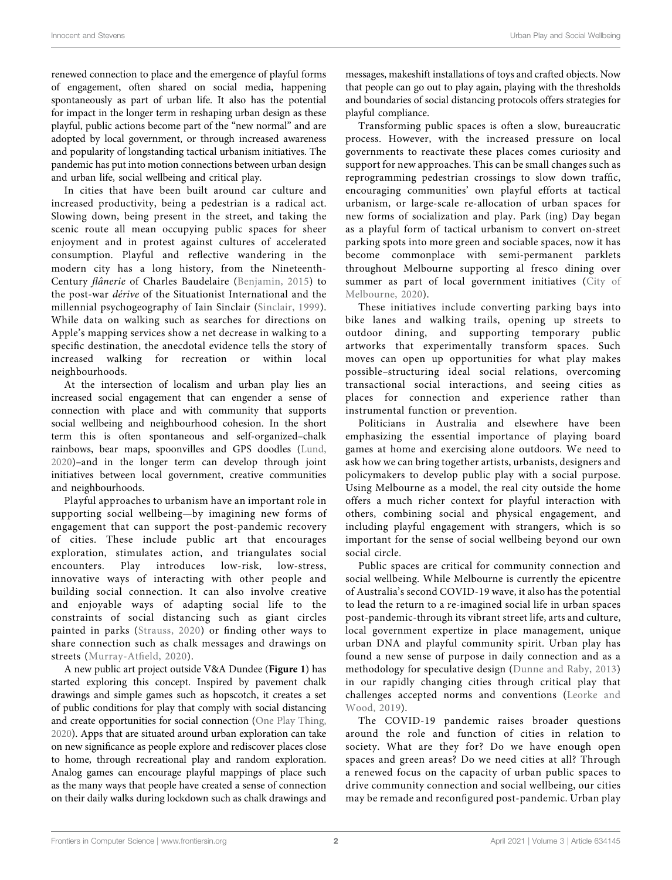renewed connection to place and the emergence of playful forms of engagement, often shared on social media, happening spontaneously as part of urban life. It also has the potential for impact in the longer term in reshaping urban design as these playful, public actions become part of the "new normal" and are adopted by local government, or through increased awareness and popularity of longstanding tactical urbanism initiatives. The pandemic has put into motion connections between urban design and urban life, social wellbeing and critical play.

In cities that have been built around car culture and increased productivity, being a pedestrian is a radical act. Slowing down, being present in the street, and taking the scenic route all mean occupying public spaces for sheer enjoyment and in protest against cultures of accelerated consumption. Playful and reflective wandering in the modern city has a long history, from the Nineteenth-Century flânerie of Charles Baudelaire [\(Benjamin, 2015](#page-2-4)) to the post-war dérive of the Situationist International and the millennial psychogeography of Iain Sinclair ([Sinclair, 1999\)](#page-2-5). While data on walking such as searches for directions on Apple's mapping services show a net decrease in walking to a specific destination, the anecdotal evidence tells the story of increased walking for recreation or within local neighbourhoods.

At the intersection of localism and urban play lies an increased social engagement that can engender a sense of connection with place and with community that supports social wellbeing and neighbourhood cohesion. In the short term this is often spontaneous and self-organized–chalk rainbows, bear maps, spoonvilles and GPS doodles ([Lund,](#page-2-6) [2020\)](#page-2-6)–and in the longer term can develop through joint initiatives between local government, creative communities and neighbourhoods.

Playful approaches to urbanism have an important role in supporting social wellbeing—by imagining new forms of engagement that can support the post-pandemic recovery of cities. These include public art that encourages exploration, stimulates action, and triangulates social encounters. Play introduces low-risk, low-stress, innovative ways of interacting with other people and building social connection. It can also involve creative and enjoyable ways of adapting social life to the constraints of social distancing such as giant circles painted in parks ([Strauss, 2020\)](#page-2-7) or finding other ways to share connection such as chalk messages and drawings on streets ([Murray-At](#page-2-8)field, 2020).

A new public art project outside V&A Dundee ([Figure 1](#page-2-9)) has started exploring this concept. Inspired by pavement chalk drawings and simple games such as hopscotch, it creates a set of public conditions for play that comply with social distancing and create opportunities for social connection ([One Play Thing,](#page-2-10) [2020](#page-2-10)). Apps that are situated around urban exploration can take on new significance as people explore and rediscover places close to home, through recreational play and random exploration. Analog games can encourage playful mappings of place such as the many ways that people have created a sense of connection on their daily walks during lockdown such as chalk drawings and

messages, makeshift installations of toys and crafted objects. Now that people can go out to play again, playing with the thresholds and boundaries of social distancing protocols offers strategies for playful compliance.

Transforming public spaces is often a slow, bureaucratic process. However, with the increased pressure on local governments to reactivate these places comes curiosity and support for new approaches. This can be small changes such as reprogramming pedestrian crossings to slow down traffic, encouraging communities' own playful efforts at tactical urbanism, or large-scale re-allocation of urban spaces for new forms of socialization and play. Park (ing) Day began as a playful form of tactical urbanism to convert on-street parking spots into more green and sociable spaces, now it has become commonplace with semi-permanent parklets throughout Melbourne supporting al fresco dining over summer as part of local government initiatives ([City of](#page-2-11) [Melbourne, 2020\)](#page-2-11).

These initiatives include converting parking bays into bike lanes and walking trails, opening up streets to outdoor dining, and supporting temporary public artworks that experimentally transform spaces. Such moves can open up opportunities for what play makes possible–structuring ideal social relations, overcoming transactional social interactions, and seeing cities as places for connection and experience rather than instrumental function or prevention.

Politicians in Australia and elsewhere have been emphasizing the essential importance of playing board games at home and exercising alone outdoors. We need to ask how we can bring together artists, urbanists, designers and policymakers to develop public play with a social purpose. Using Melbourne as a model, the real city outside the home offers a much richer context for playful interaction with others, combining social and physical engagement, and including playful engagement with strangers, which is so important for the sense of social wellbeing beyond our own social circle.

Public spaces are critical for community connection and social wellbeing. While Melbourne is currently the epicentre of Australia's second COVID-19 wave, it also has the potential to lead the return to a re-imagined social life in urban spaces post-pandemic-through its vibrant street life, arts and culture, local government expertize in place management, unique urban DNA and playful community spirit. Urban play has found a new sense of purpose in daily connection and as a methodology for speculative design ([Dunne and Raby, 2013\)](#page-2-12) in our rapidly changing cities through critical play that challenges accepted norms and conventions [\(Leorke and](#page-2-13) [Wood, 2019](#page-2-13)).

The COVID-19 pandemic raises broader questions around the role and function of cities in relation to society. What are they for? Do we have enough open spaces and green areas? Do we need cities at all? Through a renewed focus on the capacity of urban public spaces to drive community connection and social wellbeing, our cities may be remade and reconfigured post-pandemic. Urban play